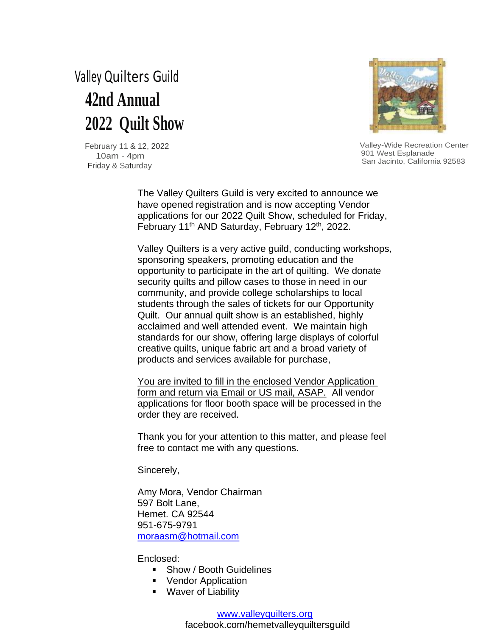# Valley Quilters Guild  **42nd Annual 2022 Quilt Show**



 Valley-Wide Recreation Center 901 West Esplanade San Jacinto, California 92583

 February 11 & 12, 2022 10am - 4pm Friday & Saturday

> The Valley Quilters Guild is very excited to announce we have opened registration and is now accepting Vendor applications for our 2022 Quilt Show, scheduled for Friday, February 11th AND Saturday, February 12th, 2022.

Valley Quilters is a very active guild, conducting workshops, sponsoring speakers, promoting education and the opportunity to participate in the art of quilting. We donate security quilts and pillow cases to those in need in our community, and provide college scholarships to local students through the sales of tickets for our Opportunity Quilt. Our annual quilt show is an established, highly acclaimed and well attended event. We maintain high standards for our show, offering large displays of colorful creative quilts, unique fabric art and a broad variety of products and services available for purchase,

You are invited to fill in the enclosed Vendor Application form and return via Email or US mail, ASAP. All vendor applications for floor booth space will be processed in the order they are received.

Thank you for your attention to this matter, and please feel free to contact me with any questions.

Sincerely,

Amy Mora, Vendor Chairman 597 Bolt Lane, Hemet. CA 92544 951-675-9791 moraasm@hotmail.com

Enclosed:

- Show / Booth Guidelines
- Vendor Application
- Waver of Liability

#### www.valleyquilters.org

facebook.com/hemetvalleyquiltersguild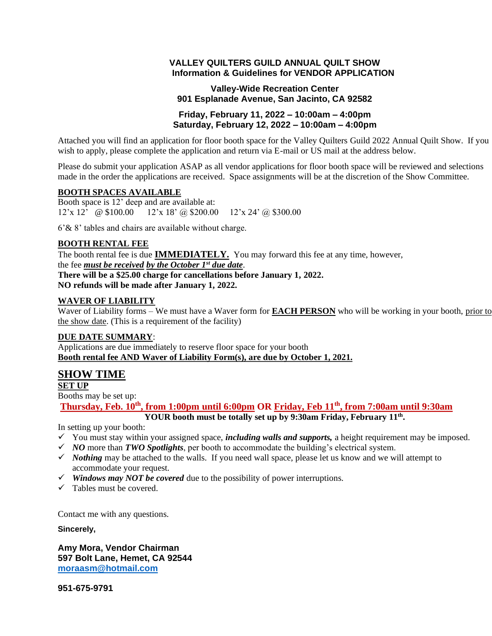#### **VALLEY QUILTERS GUILD ANNUAL QUILT SHOW Information & Guidelines for VENDOR APPLICATION**

### **Valley-Wide Recreation Center 901 Esplanade Avenue, San Jacinto, CA 92582**

#### **Friday, February 11, 2022 – 10:00am – 4:00pm Saturday, February 12, 2022 – 10:00am – 4:00pm**

Attached you will find an application for floor booth space for the Valley Quilters Guild 2022 Annual Quilt Show. If you wish to apply, please complete the application and return via E-mail or US mail at the address below.

Please do submit your application ASAP as all vendor applications for floor booth space will be reviewed and selections made in the order the applications are received. Space assignments will be at the discretion of the Show Committee.

#### **BOOTH SPACES AVAILABLE**

Booth space is 12' deep and are available at:  $12'$ x  $12'$  @ \$100.00 12'x 18' @ \$200.00 12'x 24' @ \$300.00

6'& 8' tables and chairs are available without charge.

#### **BOOTH RENTAL FEE**

The booth rental fee is due **IMMEDIATELY.** You may forward this fee at any time, however, the fee *must be received by the October 1st due date*. **There will be a \$25.00 charge for cancellations before January 1, 2022. NO refunds will be made after January 1, 2022.**

### **WAVER OF LIABILITY**

Waver of Liability forms – We must have a Waver form for **EACH PERSON** who will be working in your booth, prior to the show date. (This is a requirement of the facility)

#### **DUE DATE SUMMARY**:

Applications are due immediately to reserve floor space for your booth **Booth rental fee AND Waver of Liability Form(s), are due by October 1, 2021.**

## **SHOW TIME**

**SET UP**

Booths may be set up:

**Thursday, Feb. <sup>10</sup>th, from 1:00pm until 6:00pm OR Friday, Feb 11th , from 7:00am until 9:30am**

**YOUR booth must be totally set up by 9:30am Friday, February 11th .**

In setting up your booth:

- ✓ You must stay within your assigned space, *including walls and supports,* a height requirement may be imposed.
- ✓ *NO* more than *TWO Spotlights*, per booth to accommodate the building's electrical system.
- ✓ *Nothing* may be attached to the walls. If you need wall space, please let us know and we will attempt to accommodate your request.
- ✓ *Windows may NOT be covered* due to the possibility of power interruptions.
- $\checkmark$  Tables must be covered.

Contact me with any questions.

**Sincerely,**

**Amy Mora, Vendor Chairman 597 Bolt Lane, Hemet, CA 92544 moraasm@hotmail.com**

**951-675-9791**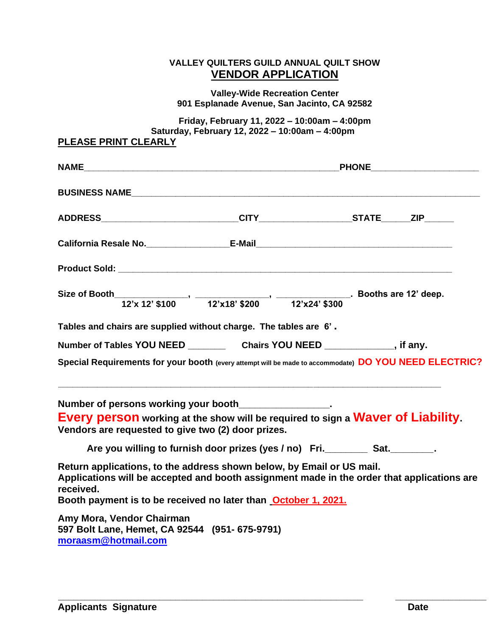## **VALLEY QUILTERS GUILD ANNUAL QUILT SHOW VENDOR APPLICATION**

**Valley-Wide Recreation Center 901 Esplanade Avenue, San Jacinto, CA 92582**

**Friday, February 11, 2022 – 10:00am – 4:00pm Saturday, February 12, 2022 – 10:00am – 4:00pm PLEASE PRINT CLEARLY**

| California Resale No. ____________________E-Mail_________________________________                                                                                                                                                                         |                                                                                                                       |  |  |  |  |
|-----------------------------------------------------------------------------------------------------------------------------------------------------------------------------------------------------------------------------------------------------------|-----------------------------------------------------------------------------------------------------------------------|--|--|--|--|
|                                                                                                                                                                                                                                                           |                                                                                                                       |  |  |  |  |
|                                                                                                                                                                                                                                                           |                                                                                                                       |  |  |  |  |
| Tables and chairs are supplied without charge. The tables are 6'.                                                                                                                                                                                         |                                                                                                                       |  |  |  |  |
|                                                                                                                                                                                                                                                           |                                                                                                                       |  |  |  |  |
| Special Requirements for your booth (every attempt will be made to accommodate) DO YOU NEED ELECTRIC?                                                                                                                                                     |                                                                                                                       |  |  |  |  |
| Number of persons working your booth________________.<br>Every person working at the show will be required to sign a Waver of Liability.<br>Vendors are requested to give two (2) door prizes.                                                            | <u> 1989 - Johann Stoff, deutscher Stoff, der Stoff, der Stoff, der Stoff, der Stoff, der Stoff, der Stoff, der S</u> |  |  |  |  |
| Are you willing to furnish door prizes (yes / no) Fri. ________ Sat. _______.                                                                                                                                                                             |                                                                                                                       |  |  |  |  |
| Return applications, to the address shown below, by Email or US mail.<br>Applications will be accepted and booth assignment made in the order that applications are<br>received.<br>Booth payment is to be received no later than <b>October 1, 2021.</b> |                                                                                                                       |  |  |  |  |
| Amy Mora, Vendor Chairman<br>597 Bolt Lane, Hemet, CA 92544 (951-675-9791)<br>moraasm@hotmail.com                                                                                                                                                         |                                                                                                                       |  |  |  |  |